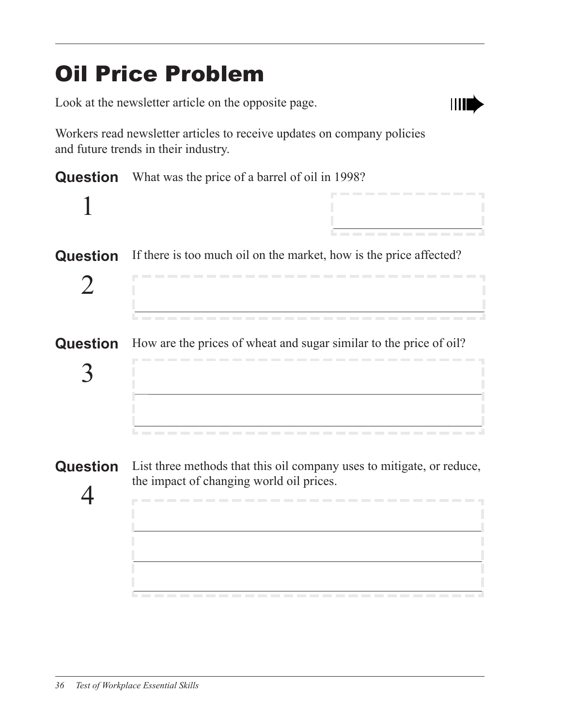# Oil Price Problem

Look at the newsletter article on the opposite page.



Workers read newsletter articles to receive updates on company policies and future trends in their industry.

| <b>Question</b> | What was the price of a barrel of oil in 1998?                                                                    |
|-----------------|-------------------------------------------------------------------------------------------------------------------|
|                 | .                                                                                                                 |
| <b>Question</b> | If there is too much oil on the market, how is the price affected?<br>---------------------------                 |
| Question        | How are the prices of wheat and sugar similar to the price of oil?<br>------------------------------------        |
| <b>Question</b> | List three methods that this oil company uses to mitigate, or reduce,<br>the impact of changing world oil prices. |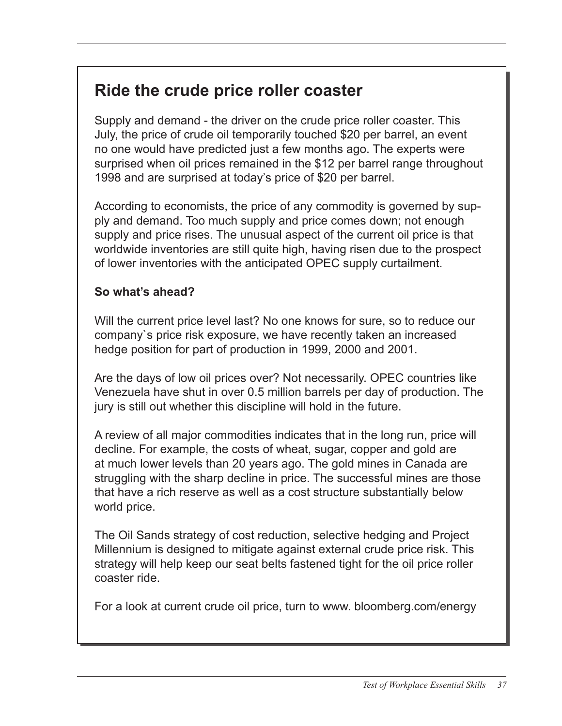### **Ride the crude price roller coaster**

Supply and demand ‑ the driver on the crude price roller coaster. This July, the price of crude oil temporarily touched \$20 per barrel, an event no one would have predicted just a few months ago. The experts were surprised when oil prices remained in the \$12 per barrel range throughout 1998 and are surprised at today's price of \$20 per barrel.

According to economists, the price of any commodity is governed by supply and demand. Too much supply and price comes down; not enough supply and price rises. The unusual aspect of the current oil price is that worldwide inventories are still quite high, having risen due to the prospect of lower inventories with the anticipated OPEC supply curtailment.

#### **So what's ahead?**

Will the current price level last? No one knows for sure, so to reduce our company`s price risk exposure, we have recently taken an increased hedge position for part of production in 1999, 2000 and 2001.

Are the days of low oil prices over? Not necessarily. OPEC countries like Venezuela have shut in over 0.5 million barrels per day of production. The jury is still out whether this discipline will hold in the future.

A review of all major commodities indicates that in the long run, price will decline. For example, the costs of wheat, sugar, copper and gold are at much lower levels than 20 years ago. The gold mines in Canada are struggling with the sharp decline in price. The successful mines are those that have a rich reserve as well as a cost structure substantially below world price.

The Oil Sands strategy of cost reduction, selective hedging and Project Millennium is designed to mitigate against external crude price risk. This strategy will help keep our seat belts fastened tight for the oil price roller coaster ride.

For a look at current crude oil price, turn to www. bloomberg.com/energy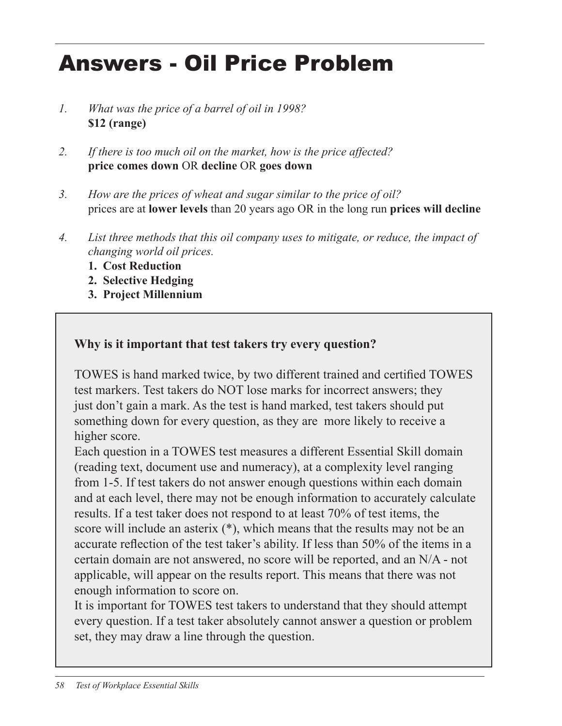# Answers - Oil Price Problem

- *1. What was the price of a barrel of oil in 1998?* **\$12 (range)**
- *2. If there is too much oil on the market, how is the price affected?* **price comes down** OR **decline** OR **goes down**
- *3. How are the prices of wheat and sugar similar to the price of oil?* prices are at **lower levels** than 20 years ago OR in the long run **prices will decline**
- *4. List three methods that this oil company uses to mitigate, or reduce, the impact of changing world oil prices.*
	- **1. Cost Reduction**
	- **2. Selective Hedging**
	- **3. Project Millennium**

### **Why is it important that test takers try every question?**

TOWES is hand marked twice, by two different trained and certified TOWES test markers. Test takers do NOT lose marks for incorrect answers; they just don't gain a mark. As the test is hand marked, test takers should put something down for every question, as they are more likely to receive a higher score.

Each question in a TOWES test measures a different Essential Skill domain (reading text, document use and numeracy), at a complexity level ranging from 1-5. If test takers do not answer enough questions within each domain and at each level, there may not be enough information to accurately calculate results. If a test taker does not respond to at least 70% of test items, the score will include an asterix (\*), which means that the results may not be an accurate reflection of the test taker's ability. If less than 50% of the items in a certain domain are not answered, no score will be reported, and an N/A - not applicable, will appear on the results report. This means that there was not enough information to score on.

It is important for TOWES test takers to understand that they should attempt every question. If a test taker absolutely cannot answer a question or problem set, they may draw a line through the question.